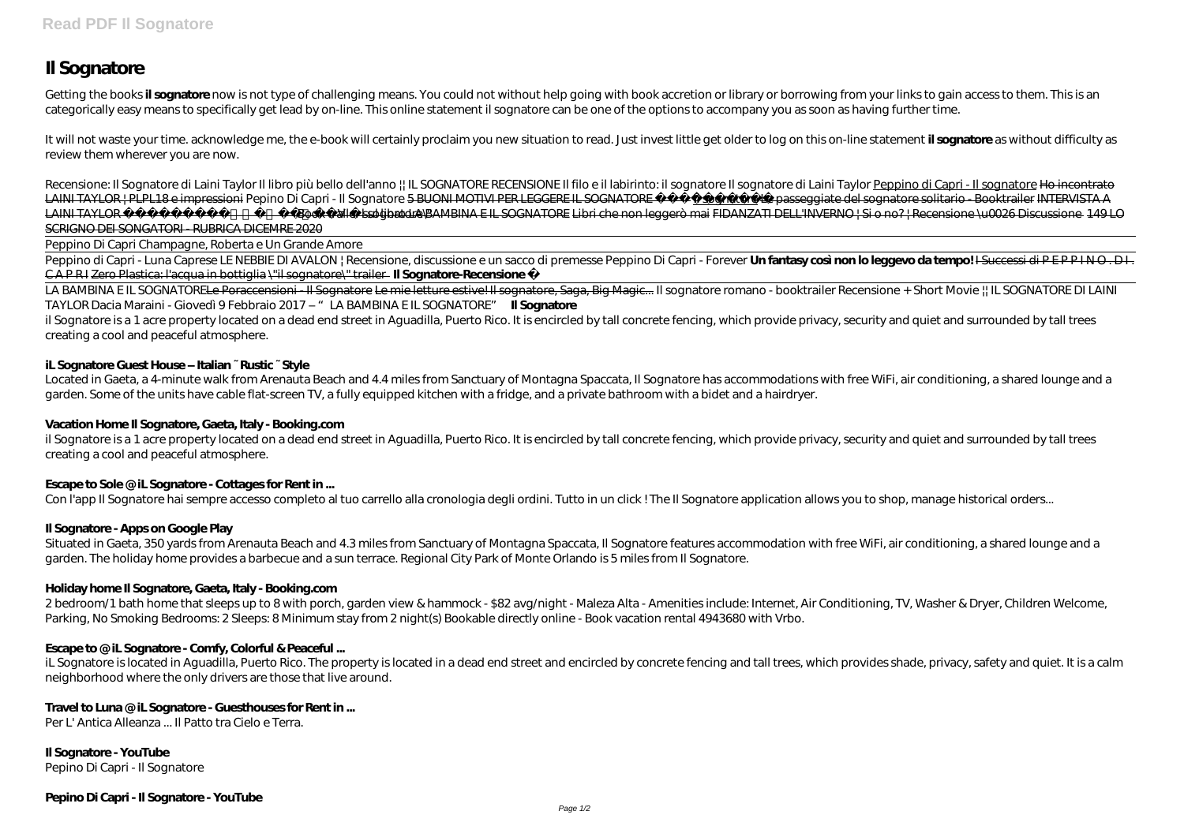# **Il Sognatore**

Getting the books il sognatore now is not type of challenging means. You could not without help going with book accretion or library or borrowing from your links to gain access to them. This is an categorically easy means to specifically get lead by on-line. This online statement il sognatore can be one of the options to accompany you as soon as having further time.

It will not waste your time. acknowledge me, the e-book will certainly proclaim you new situation to read. Just invest little get older to log on this on-line statement **il sognatore** as without difficulty as review them wherever you are now.

Recensione: Il Sognatore di Laini Taylor Il libro più bello dell'anno || IL SOGNATORE RECENSIONE Il filo e il labirinto: il sognatore ll sognatore di Laini Taylor Peppino di Capri - Il sognatore Ho incontrato LAINI TAYLOR | PLPL18 e impressioni Pepino Di Capri - Il Sognatore 5 BUONI MOTIVI PER LEGGERE IL SOGNATORE | sognatore Le passeggiate del sognatore solitario - Booktrailer INTERVISTA A LAINI TAYLOR Autrice de \"Il sognatore\Book trailer sul libro LA BAMBINA E IL SOGNATORE Libri che non leggerò mai FIDANZATI DELL'INVERNO | Si o no? | Recensione \u0026 Discussione 149 LO SCRIGNO DEI SONGATORI - RUBRICA DICEMRE 2020

Peppino di Capri - Luna Caprese LE NEBBIE DI AVALON | Recensione, discussione e un sacco di premesse *Peppino Di Capri - Forever* **Un fantasy così non lo leggevo da tempo!** I Successi di P E P P I N O . D I . CA P R I Zero Plastica: l'acqua in bottiglia \"il sognatore\" trailer **Il Sognatore-Recensione** 

Located in Gaeta, a 4-minute walk from Arenauta Beach and 4.4 miles from Sanctuary of Montagna Spaccata, II Sognatore has accommodations with free WiFi, air conditioning, a shared lounge and a garden. Some of the units have cable flat-screen TV, a fully equipped kitchen with a fridge, and a private bathroom with a bidet and a hairdryer.

Peppino Di Capri Champagne, Roberta e Un Grande Amore

il Sognatore is a 1 acre property located on a dead end street in Aguadilla, Puerto Rico. It is encircled by tall concrete fencing, which provide privacy, security and quiet and surrounded by tall trees creating a cool and peaceful atmosphere.

Situated in Gaeta, 350 yards from Arenauta Beach and 4.3 miles from Sanctuary of Montagna Spaccata, II Sognatore features accommodation with free WiFi, air conditioning, a shared lounge and a garden. The holiday home provides a barbecue and a sun terrace. Regional City Park of Monte Orlando is 5 miles from Il Sognatore.

LA BAMBINA E IL SOGNATORELe Poraccensioni - Il Sognatore Le mie letture estive! Il sognatore, Saga, Big Magic... *Il sognatore romano - booktrailer Recensione + Short Movie || IL SOGNATORE DI LAINI TAYLOR Dacia Maraini - Giovedì 9 Febbraio 2017 – "LA BAMBINA E IL SOGNATORE"* **Il Sognatore**

il Sognatore is a 1 acre property located on a dead end street in Aguadilla, Puerto Rico. It is encircled by tall concrete fencing, which provide privacy, security and quiet and surrounded by tall trees creating a cool and peaceful atmosphere.

iL Sognatore is located in Aguadilla, Puerto Rico. The property is located in a dead end street and encircled by concrete fencing and tall trees, which provides shade, privacy, safety and quiet. It is a calm neighborhood where the only drivers are those that live around.

## **iL Sognatore Guest House – Italian ~ Rustic ~ Style**

## **Vacation Home Il Sognatore, Gaeta, Italy - Booking.com**

## **Escape to Sole @ iL Sognatore - Cottages for Rent in ...**

Con l'app Il Sognatore hai sempre accesso completo al tuo carrello alla cronologia degli ordini. Tutto in un dick! The Il Sognatore application allows you to shop, manage historical orders...

## **Il Sognatore - Apps on Google Play**

## **Holiday home Il Sognatore, Gaeta, Italy - Booking.com**

2 bedroom/1 bath home that sleeps up to 8 with porch, garden view & hammock - \$82 avg/night - Maleza Alta - Amenities include: Internet, Air Conditioning, TV, Washer & Dryer, Children Welcome, Parking, No Smoking Bedrooms: 2 Sleeps: 8 Minimum stay from 2 night(s) Bookable directly online - Book vacation rental 4943680 with Vrbo.

## **Escape to @ iL Sognatore - Comfy, Colorful & Peaceful ...**

## **Travel to Luna @ iL Sognatore - Guesthouses for Rent in ...**

Per L' Antica Alleanza ... Il Patto tra Cielo e Terra.

**Il Sognatore - YouTube** Pepino Di Capri - Il Sognatore

## **Pepino Di Capri - Il Sognatore - YouTube**